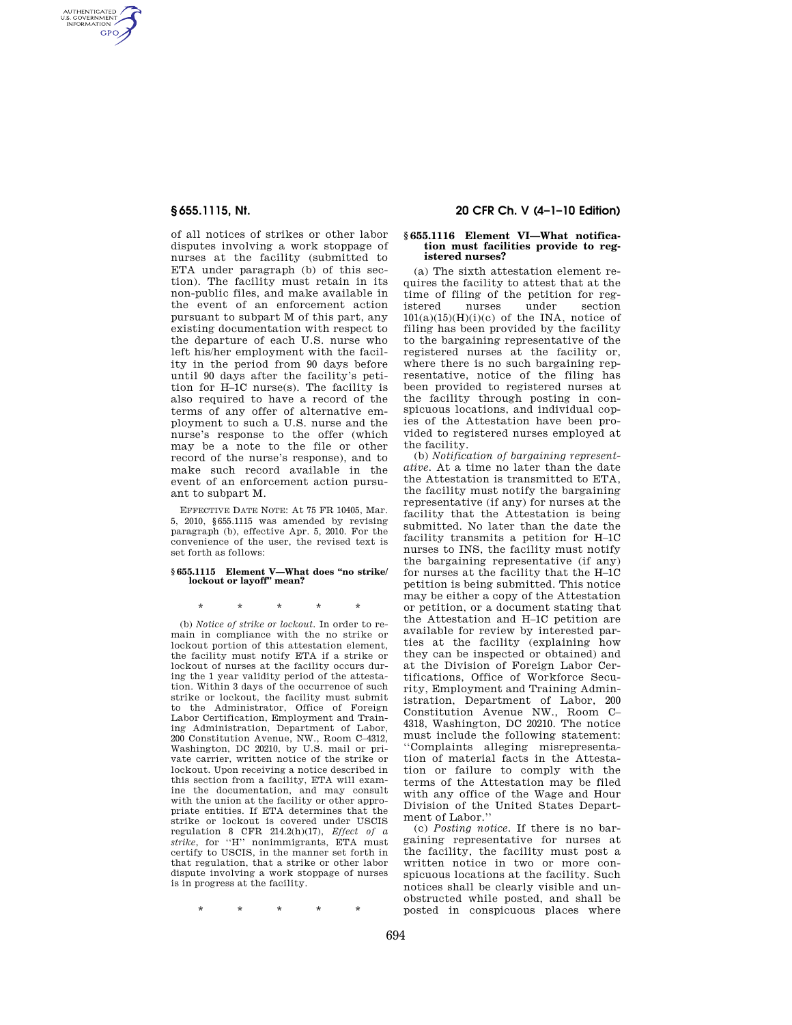AUTHENTICATED<br>U.S. GOVERNMENT<br>INFORMATION GPO

> of all notices of strikes or other labor disputes involving a work stoppage of nurses at the facility (submitted to ETA under paragraph (b) of this section). The facility must retain in its non-public files, and make available in the event of an enforcement action pursuant to subpart M of this part, any existing documentation with respect to the departure of each U.S. nurse who left his/her employment with the facility in the period from 90 days before until 90 days after the facility's petition for H–1C nurse(s). The facility is also required to have a record of the terms of any offer of alternative employment to such a U.S. nurse and the nurse's response to the offer (which may be a note to the file or other record of the nurse's response), and to make such record available in the event of an enforcement action pursuant to subpart M.

> EFFECTIVE DATE NOTE: At 75 FR 10405, Mar. 5, 2010, §655.1115 was amended by revising paragraph (b), effective Apr. 5, 2010. For the convenience of the user, the revised text is set forth as follows:

#### **§ 655.1115 Element V—What does ''no strike/ lockout or layoff'' mean?**

\* \* \* \* \*

(b) *Notice of strike or lockout.* In order to remain in compliance with the no strike or lockout portion of this attestation element, the facility must notify ETA if a strike or lockout of nurses at the facility occurs during the 1 year validity period of the attestation. Within 3 days of the occurrence of such strike or lockout, the facility must submit to the Administrator, Office of Foreign Labor Certification, Employment and Training Administration, Department of Labor, 200 Constitution Avenue, NW., Room C–4312, Washington, DC 20210, by U.S. mail or private carrier, written notice of the strike or lockout. Upon receiving a notice described in this section from a facility, ETA will examine the documentation, and may consult with the union at the facility or other appropriate entities. If ETA determines that the strike or lockout is covered under USCIS regulation 8 CFR 214.2(h)(17), *Effect of a strike*, for ''H'' nonimmigrants, ETA must certify to USCIS, in the manner set forth in that regulation, that a strike or other labor dispute involving a work stoppage of nurses is in progress at the facility.

**§ 655.1115, Nt. 20 CFR Ch. V (4–1–10 Edition)** 

## **§ 655.1116 Element VI—What notification must facilities provide to registered nurses?**

(a) The sixth attestation element requires the facility to attest that at the time of filing of the petition for registered nurses under section  $101(a)(15)(H)(i)(c)$  of the INA, notice of filing has been provided by the facility to the bargaining representative of the registered nurses at the facility or, where there is no such bargaining representative, notice of the filing has been provided to registered nurses at the facility through posting in conspicuous locations, and individual copies of the Attestation have been provided to registered nurses employed at the facility.

(b) *Notification of bargaining representative.* At a time no later than the date the Attestation is transmitted to ETA, the facility must notify the bargaining representative (if any) for nurses at the facility that the Attestation is being submitted. No later than the date the facility transmits a petition for H–1C nurses to INS, the facility must notify the bargaining representative (if any) for nurses at the facility that the H–1C petition is being submitted. This notice may be either a copy of the Attestation or petition, or a document stating that the Attestation and H–1C petition are available for review by interested parties at the facility (explaining how they can be inspected or obtained) and at the Division of Foreign Labor Certifications, Office of Workforce Security, Employment and Training Administration, Department of Labor, 200 Constitution Avenue NW., Room C– 4318, Washington, DC 20210. The notice must include the following statement: ''Complaints alleging misrepresentation of material facts in the Attestation or failure to comply with the terms of the Attestation may be filed with any office of the Wage and Hour Division of the United States Department of Labor.''

(c) *Posting notice.* If there is no bargaining representative for nurses at the facility, the facility must post a written notice in two or more conspicuous locations at the facility. Such notices shall be clearly visible and unobstructed while posted, and shall be posted in conspicuous places where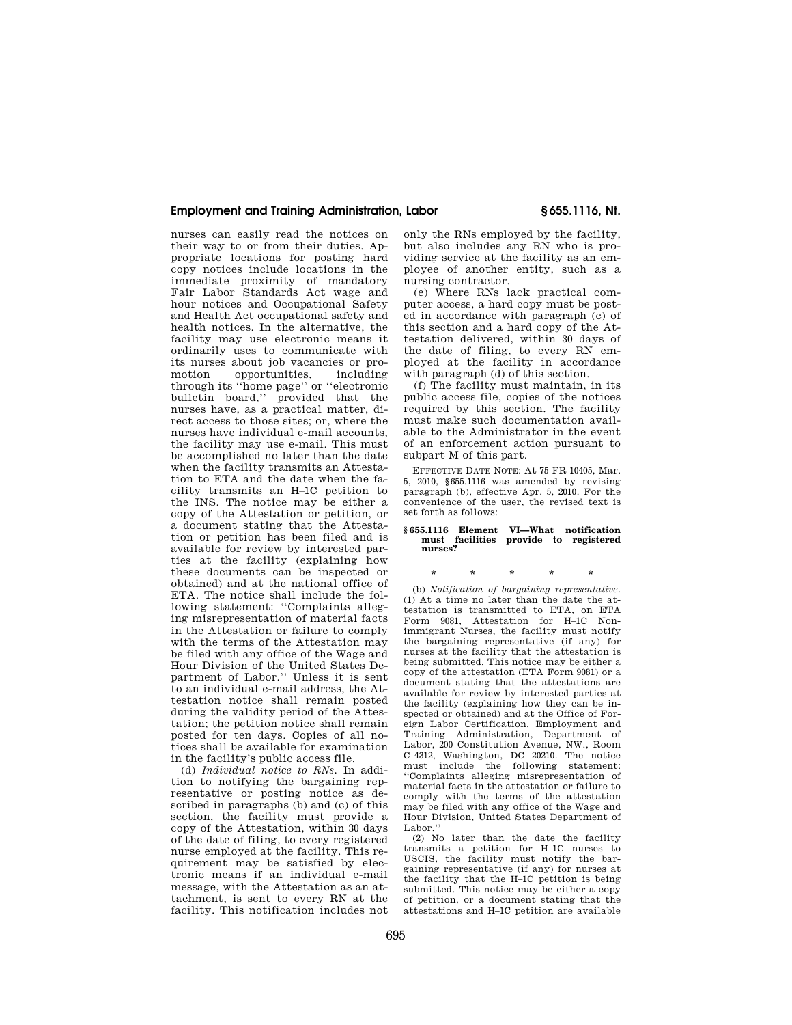# **Employment and Training Administration, Labor § 655.1116, Nt.**

nurses can easily read the notices on their way to or from their duties. Appropriate locations for posting hard copy notices include locations in the immediate proximity of mandatory Fair Labor Standards Act wage and hour notices and Occupational Safety and Health Act occupational safety and health notices. In the alternative, the facility may use electronic means it ordinarily uses to communicate with its nurses about job vacancies or promotion opportunities, including through its ''home page'' or ''electronic bulletin board,'' provided that the nurses have, as a practical matter, direct access to those sites; or, where the nurses have individual e-mail accounts, the facility may use e-mail. This must be accomplished no later than the date when the facility transmits an Attestation to ETA and the date when the facility transmits an H–1C petition to the INS. The notice may be either a copy of the Attestation or petition, or a document stating that the Attestation or petition has been filed and is available for review by interested parties at the facility (explaining how these documents can be inspected or obtained) and at the national office of ETA. The notice shall include the following statement: ''Complaints alleging misrepresentation of material facts in the Attestation or failure to comply with the terms of the Attestation may be filed with any office of the Wage and Hour Division of the United States Department of Labor.'' Unless it is sent to an individual e-mail address, the Attestation notice shall remain posted during the validity period of the Attestation; the petition notice shall remain posted for ten days. Copies of all notices shall be available for examination in the facility's public access file.

(d) *Individual notice to RNs.* In addition to notifying the bargaining representative or posting notice as described in paragraphs (b) and (c) of this section, the facility must provide a copy of the Attestation, within 30 days of the date of filing, to every registered nurse employed at the facility. This requirement may be satisfied by electronic means if an individual e-mail message, with the Attestation as an attachment, is sent to every RN at the facility. This notification includes not only the RNs employed by the facility, but also includes any RN who is providing service at the facility as an employee of another entity, such as a nursing contractor.

(e) Where RNs lack practical computer access, a hard copy must be posted in accordance with paragraph (c) of this section and a hard copy of the Attestation delivered, within 30 days of the date of filing, to every RN employed at the facility in accordance with paragraph (d) of this section.

(f) The facility must maintain, in its public access file, copies of the notices required by this section. The facility must make such documentation available to the Administrator in the event of an enforcement action pursuant to subpart M of this part.

EFFECTIVE DATE NOTE: At 75 FR 10405, Mar. 5, 2010, §655.1116 was amended by revising paragraph (b), effective Apr. 5, 2010. For the convenience of the user, the revised text is set forth as follows:

# **§ 655.1116 Element VI—What notification must facilities provide to registered nurses?**

\* \* \* \* \*

(b) *Notification of bargaining representative.*  (1) At a time no later than the date the attestation is transmitted to ETA, on ETA Form 9081, Attestation for H–1C Nonimmigrant Nurses, the facility must notify the bargaining representative (if any) for nurses at the facility that the attestation is being submitted. This notice may be either a copy of the attestation (ETA Form 9081) or a document stating that the attestations are available for review by interested parties at the facility (explaining how they can be inspected or obtained) and at the Office of Foreign Labor Certification, Employment and Training Administration, Department of Labor, 200 Constitution Avenue, NW., Room C–4312, Washington, DC 20210. The notice must include the following statement: ''Complaints alleging misrepresentation of material facts in the attestation or failure to comply with the terms of the attestation may be filed with any office of the Wage and Hour Division, United States Department of Labor.'

(2) No later than the date the facility transmits a petition for H–1C nurses to USCIS, the facility must notify the bargaining representative (if any) for nurses at the facility that the H–1C petition is being submitted. This notice may be either a copy of petition, or a document stating that the attestations and H–1C petition are available